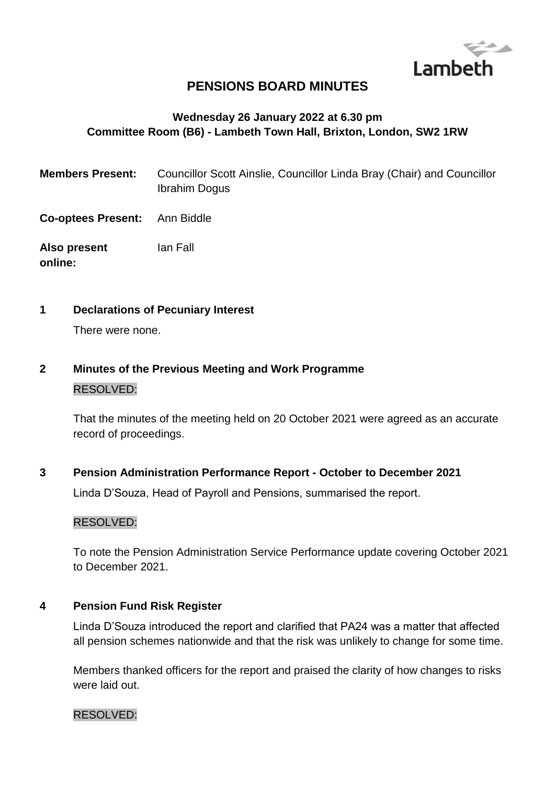

# **PENSIONS BOARD MINUTES**

## **Wednesday 26 January 2022 at 6.30 pm Committee Room (B6) - Lambeth Town Hall, Brixton, London, SW2 1RW**

- **Members Present:** Councillor Scott Ainslie, Councillor Linda Bray (Chair) and Councillor Ibrahim Dogus
- **Co-optees Present:** Ann Biddle
- **Also present online:** Ian Fall
- **1 Declarations of Pecuniary Interest**

There were none.

**2 Minutes of the Previous Meeting and Work Programme** RESOLVED:

> That the minutes of the meeting held on 20 October 2021 were agreed as an accurate record of proceedings.

**3 Pension Administration Performance Report - October to December 2021**

Linda D'Souza, Head of Payroll and Pensions, summarised the report.

### RESOLVED:

To note the Pension Administration Service Performance update covering October 2021 to December 2021.

### **4 Pension Fund Risk Register**

Linda D'Souza introduced the report and clarified that PA24 was a matter that affected all pension schemes nationwide and that the risk was unlikely to change for some time.

Members thanked officers for the report and praised the clarity of how changes to risks were laid out.

#### RESOLVED: